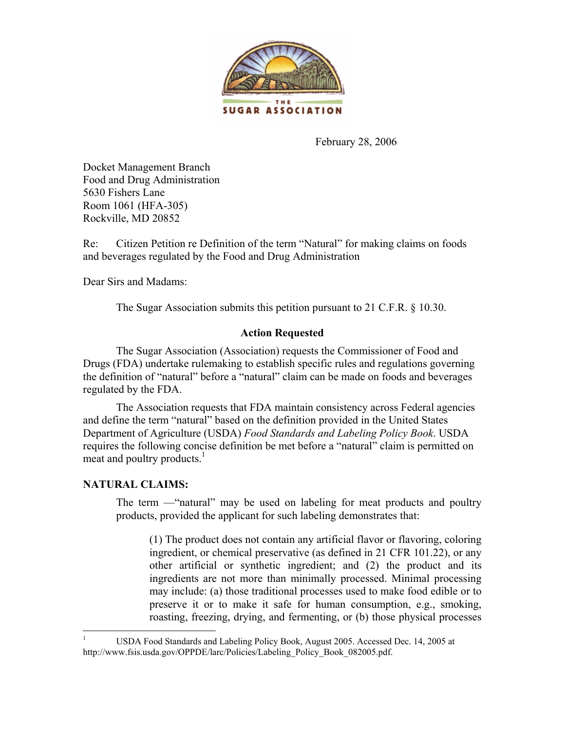

February 28, 2006

Docket Management Branch Food and Drug Administration 5630 Fishers Lane Room 1061 (HFA-305) Rockville, MD 20852

Re: Citizen Petition re Definition of the term "Natural" for making claims on foods and beverages regulated by the Food and Drug Administration

Dear Sirs and Madams:

The Sugar Association submits this petition pursuant to 21 C.F.R. § 10.30.

## **Action Requested**

 The Sugar Association (Association) requests the Commissioner of Food and Drugs (FDA) undertake rulemaking to establish specific rules and regulations governing the definition of "natural" before a "natural" claim can be made on foods and beverages regulated by the FDA.

 The Association requests that FDA maintain consistency across Federal agencies and define the term "natural" based on the definition provided in the United States Department of Agriculture (USDA) *Food Standards and Labeling Policy Book*. USDA requires the following concise definition be met before a "natural" claim is permitted on meat and poultry products.<sup>1</sup>

# **NATURAL CLAIMS:**

 $\overline{a}$ 

The term —"natural" may be used on labeling for meat products and poultry products, provided the applicant for such labeling demonstrates that:

(1) The product does not contain any artificial flavor or flavoring, coloring ingredient, or chemical preservative (as defined in 21 CFR 101.22), or any other artificial or synthetic ingredient; and (2) the product and its ingredients are not more than minimally processed. Minimal processing may include: (a) those traditional processes used to make food edible or to preserve it or to make it safe for human consumption, e.g., smoking, roasting, freezing, drying, and fermenting, or (b) those physical processes

<sup>1</sup> USDA Food Standards and Labeling Policy Book, August 2005. Accessed Dec. 14, 2005 at http://www.fsis.usda.gov/OPPDE/larc/Policies/Labeling\_Policy\_Book\_082005.pdf.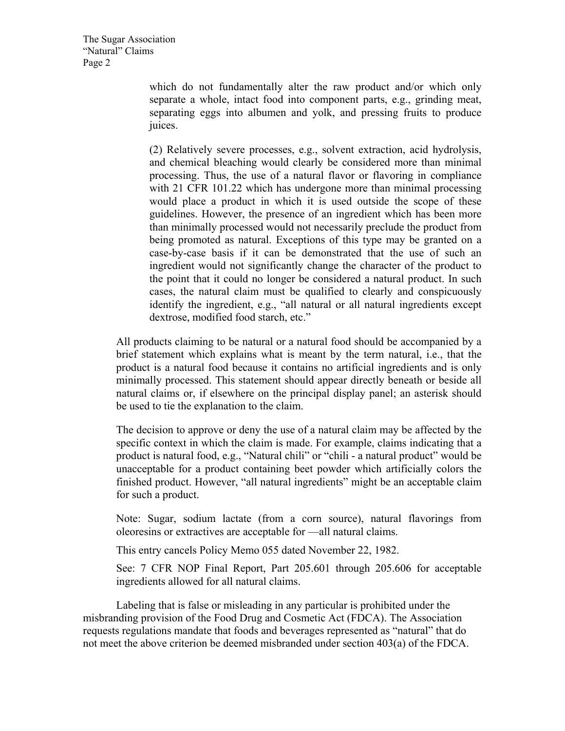> which do not fundamentally alter the raw product and/or which only separate a whole, intact food into component parts, e.g., grinding meat, separating eggs into albumen and yolk, and pressing fruits to produce juices.

> (2) Relatively severe processes, e.g., solvent extraction, acid hydrolysis, and chemical bleaching would clearly be considered more than minimal processing. Thus, the use of a natural flavor or flavoring in compliance with 21 CFR 101.22 which has undergone more than minimal processing would place a product in which it is used outside the scope of these guidelines. However, the presence of an ingredient which has been more than minimally processed would not necessarily preclude the product from being promoted as natural. Exceptions of this type may be granted on a case-by-case basis if it can be demonstrated that the use of such an ingredient would not significantly change the character of the product to the point that it could no longer be considered a natural product. In such cases, the natural claim must be qualified to clearly and conspicuously identify the ingredient, e.g., "all natural or all natural ingredients except dextrose, modified food starch, etc."

All products claiming to be natural or a natural food should be accompanied by a brief statement which explains what is meant by the term natural, i.e., that the product is a natural food because it contains no artificial ingredients and is only minimally processed. This statement should appear directly beneath or beside all natural claims or, if elsewhere on the principal display panel; an asterisk should be used to tie the explanation to the claim.

The decision to approve or deny the use of a natural claim may be affected by the specific context in which the claim is made. For example, claims indicating that a product is natural food, e.g., "Natural chili" or "chili - a natural product" would be unacceptable for a product containing beet powder which artificially colors the finished product. However, "all natural ingredients" might be an acceptable claim for such a product.

Note: Sugar, sodium lactate (from a corn source), natural flavorings from oleoresins or extractives are acceptable for —all natural claims.

This entry cancels Policy Memo 055 dated November 22, 1982.

See: 7 CFR NOP Final Report, Part 205.601 through 205.606 for acceptable ingredients allowed for all natural claims.

 Labeling that is false or misleading in any particular is prohibited under the misbranding provision of the Food Drug and Cosmetic Act (FDCA). The Association requests regulations mandate that foods and beverages represented as "natural" that do not meet the above criterion be deemed misbranded under section 403(a) of the FDCA.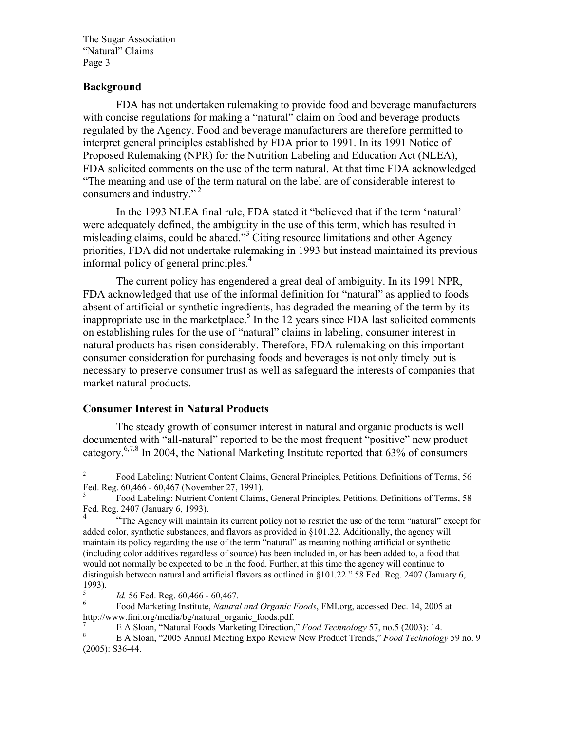# **Background**

FDA has not undertaken rulemaking to provide food and beverage manufacturers with concise regulations for making a "natural" claim on food and beverage products regulated by the Agency. Food and beverage manufacturers are therefore permitted to interpret general principles established by FDA prior to 1991. In its 1991 Notice of Proposed Rulemaking (NPR) for the Nutrition Labeling and Education Act (NLEA), FDA solicited comments on the use of the term natural. At that time FDA acknowledged "The meaning and use of the term natural on the label are of considerable interest to consumers and industry."<sup>2</sup>

In the 1993 NLEA final rule, FDA stated it "believed that if the term 'natural' were adequately defined, the ambiguity in the use of this term, which has resulted in misleading claims, could be abated."<sup>3</sup> Citing resource limitations and other Agency priorities, FDA did not undertake rulemaking in 1993 but instead maintained its previous informal policy of general principles.<sup>4</sup>

The current policy has engendered a great deal of ambiguity. In its 1991 NPR, FDA acknowledged that use of the informal definition for "natural" as applied to foods absent of artificial or synthetic ingredients, has degraded the meaning of the term by its inappropriate use in the marketplace.<sup>5</sup> In the 12 years since FDA last solicited comments on establishing rules for the use of "natural" claims in labeling, consumer interest in natural products has risen considerably. Therefore, FDA rulemaking on this important consumer consideration for purchasing foods and beverages is not only timely but is necessary to preserve consumer trust as well as safeguard the interests of companies that market natural products.

## **Consumer Interest in Natural Products**

The steady growth of consumer interest in natural and organic products is well documented with "all-natural" reported to be the most frequent "positive" new product category.<sup>6,7,8</sup> In 2004, the National Marketing Institute reported that 63% of consumers

 $\frac{1}{2}$  Food Labeling: Nutrient Content Claims, General Principles, Petitions, Definitions of Terms, 56 Fed. Reg. 60,466 - 60,467 (November 27, 1991).

<sup>3</sup> Food Labeling: Nutrient Content Claims, General Principles, Petitions, Definitions of Terms, 58 Fed. Reg. 2407 (January 6, 1993).

<sup>4</sup> "The Agency will maintain its current policy not to restrict the use of the term "natural" except for added color, synthetic substances, and flavors as provided in §101.22. Additionally, the agency will maintain its policy regarding the use of the term "natural" as meaning nothing artificial or synthetic (including color additives regardless of source) has been included in, or has been added to, a food that would not normally be expected to be in the food. Further, at this time the agency will continue to distinguish between natural and artificial flavors as outlined in §101.22." 58 Fed. Reg. 2407 (January 6, 1993).

<sup>5</sup> *Id.* 56 Fed. Reg. 60,466 - 60,467.

Food Marketing Institute, *Natural and Organic Foods*, FMI.org, accessed Dec. 14, 2005 at http://www.fmi.org/media/bg/natural\_organic\_foods.pdf.

<sup>7</sup> E A Sloan, "Natural Foods Marketing Direction," *Food Technology* 57, no.5 (2003): 14. 8

E A Sloan, "2005 Annual Meeting Expo Review New Product Trends," *Food Technology* 59 no. 9 (2005): S36-44.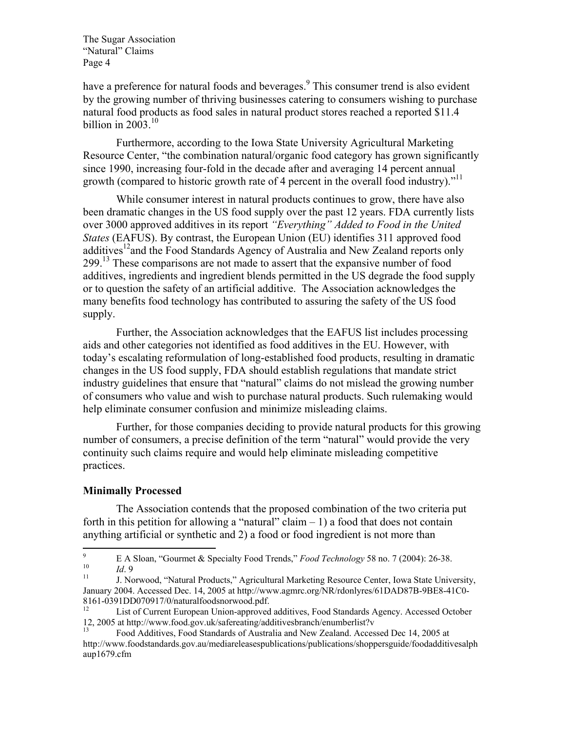have a preference for natural foods and beverages.<sup>9</sup> This consumer trend is also evident by the growing number of thriving businesses catering to consumers wishing to purchase natural food products as food sales in natural product stores reached a reported \$11.4 billion in 2003. $10<sup>10</sup>$ 

Furthermore, according to the Iowa State University Agricultural Marketing Resource Center, "the combination natural/organic food category has grown significantly since 1990, increasing four-fold in the decade after and averaging 14 percent annual growth (compared to historic growth rate of 4 percent in the overall food industry)."<sup>11</sup>

While consumer interest in natural products continues to grow, there have also been dramatic changes in the US food supply over the past 12 years. FDA currently lists over 3000 approved additives in its report *"Everything" Added to Food in the United States* (EAFUS). By contrast, the European Union (EU) identifies 311 approved food additives<sup>12</sup> and the Food Standards Agency of Australia and New Zealand reports only 299.13 These comparisons are not made to assert that the expansive number of food additives, ingredients and ingredient blends permitted in the US degrade the food supply or to question the safety of an artificial additive. The Association acknowledges the many benefits food technology has contributed to assuring the safety of the US food supply.

Further, the Association acknowledges that the EAFUS list includes processing aids and other categories not identified as food additives in the EU. However, with today's escalating reformulation of long-established food products, resulting in dramatic changes in the US food supply, FDA should establish regulations that mandate strict industry guidelines that ensure that "natural" claims do not mislead the growing number of consumers who value and wish to purchase natural products. Such rulemaking would help eliminate consumer confusion and minimize misleading claims.

Further, for those companies deciding to provide natural products for this growing number of consumers, a precise definition of the term "natural" would provide the very continuity such claims require and would help eliminate misleading competitive practices.

## **Minimally Processed**

 The Association contends that the proposed combination of the two criteria put forth in this petition for allowing a "natural" claim  $-1$ ) a food that does not contain anything artificial or synthetic and 2) a food or food ingredient is not more than

<sup>-&</sup>lt;br>9 E A Sloan, "Gourmet & Specialty Food Trends," *Food Technology* 58 no. 7 (2004): 26-38.<br>
<sup>10</sup> *Id.* 9 *Id.* 9 *I.* Norwood, "Natural Products," Agricultural Marketing Resource Center, Iowa State University,

January 2004. Accessed Dec. 14, 2005 at http://www.agmrc.org/NR/rdonlyres/61DAD87B-9BE8-41C0- 8161-0391DD070917/0/naturalfoodsnorwood.pdf.

<sup>12</sup> List of Current European Union-approved additives, Food Standards Agency. Accessed October 12, 2005 at http://www.food.gov.uk/safereating/additivesbranch/enumberlist?v 13 Food Additives, Food Standards of Australia and New Zealand. Accessed Dec 14, 2005 at

http://www.foodstandards.gov.au/mediareleasespublications/publications/shoppersguide/foodadditivesalph aup1679.cfm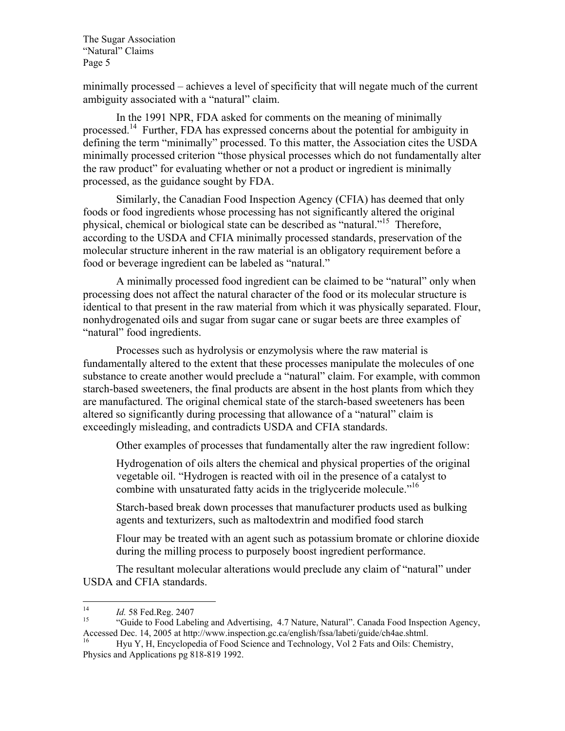minimally processed – achieves a level of specificity that will negate much of the current ambiguity associated with a "natural" claim.

In the 1991 NPR, FDA asked for comments on the meaning of minimally processed.<sup>14</sup> Further, FDA has expressed concerns about the potential for ambiguity in defining the term "minimally" processed. To this matter, the Association cites the USDA minimally processed criterion "those physical processes which do not fundamentally alter the raw product" for evaluating whether or not a product or ingredient is minimally processed, as the guidance sought by FDA.

 Similarly, the Canadian Food Inspection Agency (CFIA) has deemed that only foods or food ingredients whose processing has not significantly altered the original physical, chemical or biological state can be described as "natural."15 Therefore, according to the USDA and CFIA minimally processed standards, preservation of the molecular structure inherent in the raw material is an obligatory requirement before a food or beverage ingredient can be labeled as "natural."

 A minimally processed food ingredient can be claimed to be "natural" only when processing does not affect the natural character of the food or its molecular structure is identical to that present in the raw material from which it was physically separated. Flour, nonhydrogenated oils and sugar from sugar cane or sugar beets are three examples of "natural" food ingredients.

Processes such as hydrolysis or enzymolysis where the raw material is fundamentally altered to the extent that these processes manipulate the molecules of one substance to create another would preclude a "natural" claim. For example, with common starch-based sweeteners, the final products are absent in the host plants from which they are manufactured. The original chemical state of the starch-based sweeteners has been altered so significantly during processing that allowance of a "natural" claim is exceedingly misleading, and contradicts USDA and CFIA standards.

Other examples of processes that fundamentally alter the raw ingredient follow:

Hydrogenation of oils alters the chemical and physical properties of the original vegetable oil. "Hydrogen is reacted with oil in the presence of a catalyst to combine with unsaturated fatty acids in the triglyceride molecule."<sup>16</sup>

Starch-based break down processes that manufacturer products used as bulking agents and texturizers, such as maltodextrin and modified food starch

Flour may be treated with an agent such as potassium bromate or chlorine dioxide during the milling process to purposely boost ingredient performance.

The resultant molecular alterations would preclude any claim of "natural" under USDA and CFIA standards.

 $14<sup>°</sup>$ 

<sup>&</sup>lt;sup>14</sup> *Id.* 58 Fed.Reg. 2407<br><sup>15</sup> "Guide to Food Labeling and Advertising, 4.7 Nature, Natural". Canada Food Inspection Agency, Accessed Dec. 14, 2005 at http://www.inspection.gc.ca/english/fssa/labeti/guide/ch4ae.shtml.<br><sup>16</sup> Hyu Y, H, Encyclopedia of Food Science and Technology, Vol 2 Fats and Oils: Chemistry,

Physics and Applications pg 818-819 1992.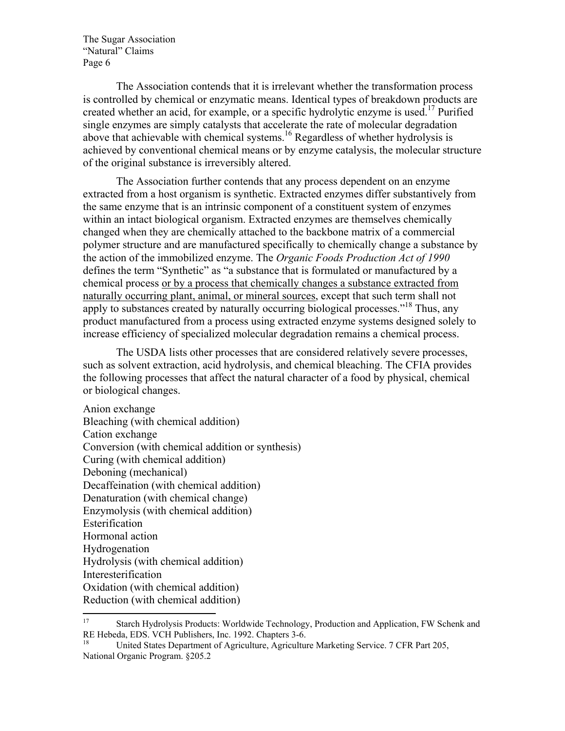The Association contends that it is irrelevant whether the transformation process is controlled by chemical or enzymatic means. Identical types of breakdown products are created whether an acid, for example, or a specific hydrolytic enzyme is used.<sup>17</sup> Purified single enzymes are simply catalysts that accelerate the rate of molecular degradation above that achievable with chemical systems.<sup>16</sup> Regardless of whether hydrolysis is achieved by conventional chemical means or by enzyme catalysis, the molecular structure of the original substance is irreversibly altered.

The Association further contends that any process dependent on an enzyme extracted from a host organism is synthetic. Extracted enzymes differ substantively from the same enzyme that is an intrinsic component of a constituent system of enzymes within an intact biological organism. Extracted enzymes are themselves chemically changed when they are chemically attached to the backbone matrix of a commercial polymer structure and are manufactured specifically to chemically change a substance by the action of the immobilized enzyme. The *Organic Foods Production Act of 1990* defines the term "Synthetic" as "a substance that is formulated or manufactured by a chemical process or by a process that chemically changes a substance extracted from naturally occurring plant, animal, or mineral sources, except that such term shall not apply to substances created by naturally occurring biological processes."<sup>18</sup> Thus, any product manufactured from a process using extracted enzyme systems designed solely to increase efficiency of specialized molecular degradation remains a chemical process.

The USDA lists other processes that are considered relatively severe processes, such as solvent extraction, acid hydrolysis, and chemical bleaching. The CFIA provides the following processes that affect the natural character of a food by physical, chemical or biological changes.

Anion exchange Bleaching (with chemical addition) Cation exchange Conversion (with chemical addition or synthesis) Curing (with chemical addition) Deboning (mechanical) Decaffeination (with chemical addition) Denaturation (with chemical change) Enzymolysis (with chemical addition) **Esterification** Hormonal action Hydrogenation Hydrolysis (with chemical addition) Interesterification Oxidation (with chemical addition) Reduction (with chemical addition)

 $17\,$ 17 Starch Hydrolysis Products: Worldwide Technology, Production and Application, FW Schenk and RE Hebeda, EDS. VCH Publishers, Inc. 1992. Chapters 3-6.

<sup>18</sup> United States Department of Agriculture, Agriculture Marketing Service. 7 CFR Part 205, National Organic Program. §205.2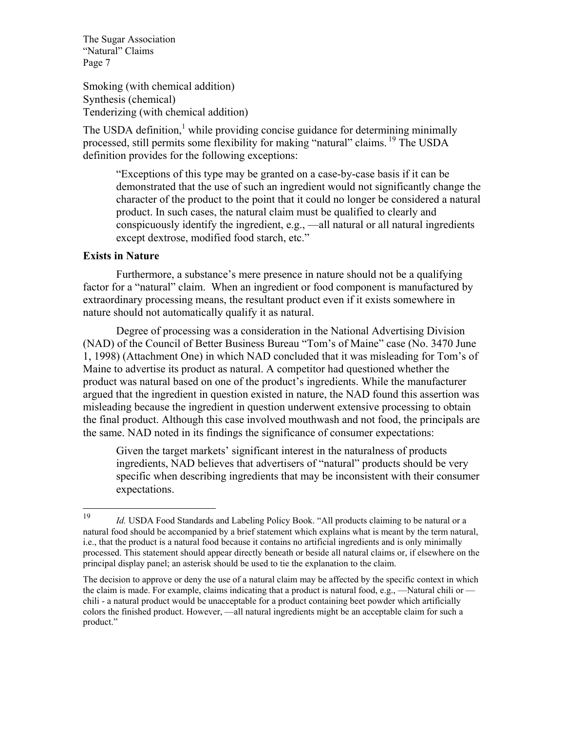Smoking (with chemical addition) Synthesis (chemical) Tenderizing (with chemical addition)

The USDA definition, $\frac{1}{1}$  while providing concise guidance for determining minimally processed, still permits some flexibility for making "natural" claims. <sup>19</sup> The USDA definition provides for the following exceptions:

"Exceptions of this type may be granted on a case-by-case basis if it can be demonstrated that the use of such an ingredient would not significantly change the character of the product to the point that it could no longer be considered a natural product. In such cases, the natural claim must be qualified to clearly and conspicuously identify the ingredient, e.g., —all natural or all natural ingredients except dextrose, modified food starch, etc."

## **Exists in Nature**

 Furthermore, a substance's mere presence in nature should not be a qualifying factor for a "natural" claim. When an ingredient or food component is manufactured by extraordinary processing means, the resultant product even if it exists somewhere in nature should not automatically qualify it as natural.

Degree of processing was a consideration in the National Advertising Division (NAD) of the Council of Better Business Bureau "Tom's of Maine" case (No. 3470 June 1, 1998) (Attachment One) in which NAD concluded that it was misleading for Tom's of Maine to advertise its product as natural. A competitor had questioned whether the product was natural based on one of the product's ingredients. While the manufacturer argued that the ingredient in question existed in nature, the NAD found this assertion was misleading because the ingredient in question underwent extensive processing to obtain the final product. Although this case involved mouthwash and not food, the principals are the same. NAD noted in its findings the significance of consumer expectations:

Given the target markets' significant interest in the naturalness of products ingredients, NAD believes that advertisers of "natural" products should be very specific when describing ingredients that may be inconsistent with their consumer expectations.

<sup>19</sup> *Id.* USDA Food Standards and Labeling Policy Book. "All products claiming to be natural or a natural food should be accompanied by a brief statement which explains what is meant by the term natural, i.e., that the product is a natural food because it contains no artificial ingredients and is only minimally processed. This statement should appear directly beneath or beside all natural claims or, if elsewhere on the principal display panel; an asterisk should be used to tie the explanation to the claim.

The decision to approve or deny the use of a natural claim may be affected by the specific context in which the claim is made. For example, claims indicating that a product is natural food, e.g., —Natural chili or chili - a natural product would be unacceptable for a product containing beet powder which artificially colors the finished product. However, —all natural ingredients might be an acceptable claim for such a product."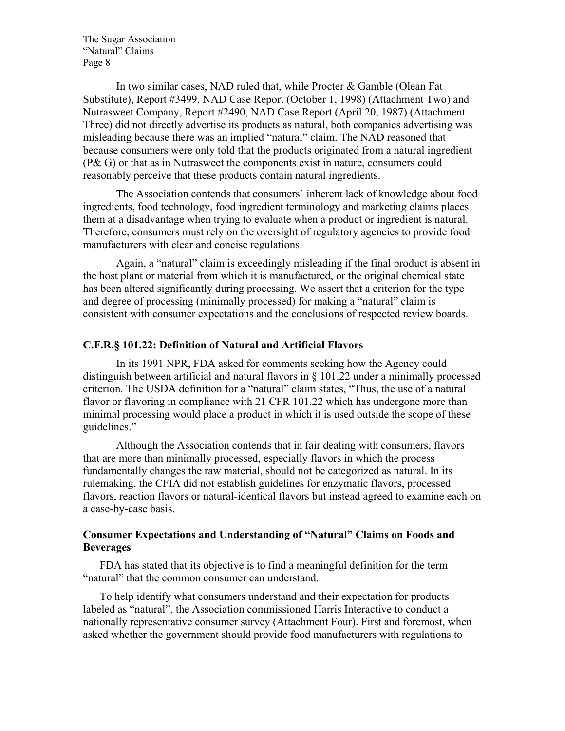In two similar cases, NAD ruled that, while Procter & Gamble (Olean Fat Substitute), Report #3499, NAD Case Report (October 1, 1998) (Attachment Two) and Nutrasweet Company, Report #2490, NAD Case Report (April 20, 1987) (Attachment Three) did not directly advertise its products as natural, both companies advertising was misleading because there was an implied "natural" claim. The NAD reasoned that because consumers were only told that the products originated from a natural ingredient (P& G) or that as in Nutrasweet the components exist in nature, consumers could reasonably perceive that these products contain natural ingredients.

The Association contends that consumers' inherent lack of knowledge about food ingredients, food technology, food ingredient terminology and marketing claims places them at a disadvantage when trying to evaluate when a product or ingredient is natural. Therefore, consumers must rely on the oversight of regulatory agencies to provide food manufacturers with clear and concise regulations.

 Again, a "natural" claim is exceedingly misleading if the final product is absent in the host plant or material from which it is manufactured, or the original chemical state has been altered significantly during processing. We assert that a criterion for the type and degree of processing (minimally processed) for making a "natural" claim is consistent with consumer expectations and the conclusions of respected review boards.

## **C.F.R.§ 101.22: Definition of Natural and Artificial Flavors**

In its 1991 NPR, FDA asked for comments seeking how the Agency could distinguish between artificial and natural flavors in § 101.22 under a minimally processed criterion. The USDA definition for a "natural" claim states, "Thus, the use of a natural flavor or flavoring in compliance with 21 CFR 101.22 which has undergone more than minimal processing would place a product in which it is used outside the scope of these guidelines."

Although the Association contends that in fair dealing with consumers, flavors that are more than minimally processed, especially flavors in which the process fundamentally changes the raw material, should not be categorized as natural. In its rulemaking, the CFIA did not establish guidelines for enzymatic flavors, processed flavors, reaction flavors or natural-identical flavors but instead agreed to examine each on a case-by-case basis.

## **Consumer Expectations and Understanding of "Natural" Claims on Foods and Beverages**

FDA has stated that its objective is to find a meaningful definition for the term "natural" that the common consumer can understand.

To help identify what consumers understand and their expectation for products labeled as "natural", the Association commissioned Harris Interactive to conduct a nationally representative consumer survey (Attachment Four). First and foremost, when asked whether the government should provide food manufacturers with regulations to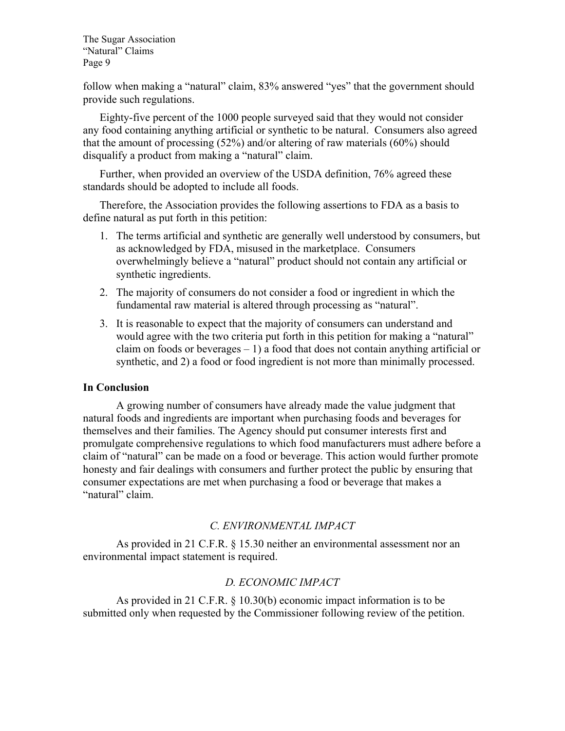follow when making a "natural" claim, 83% answered "yes" that the government should provide such regulations.

Eighty-five percent of the 1000 people surveyed said that they would not consider any food containing anything artificial or synthetic to be natural. Consumers also agreed that the amount of processing  $(52\%)$  and/or altering of raw materials  $(60\%)$  should disqualify a product from making a "natural" claim.

Further, when provided an overview of the USDA definition, 76% agreed these standards should be adopted to include all foods.

Therefore, the Association provides the following assertions to FDA as a basis to define natural as put forth in this petition:

- 1. The terms artificial and synthetic are generally well understood by consumers, but as acknowledged by FDA, misused in the marketplace. Consumers overwhelmingly believe a "natural" product should not contain any artificial or synthetic ingredients.
- 2. The majority of consumers do not consider a food or ingredient in which the fundamental raw material is altered through processing as "natural".
- 3. It is reasonable to expect that the majority of consumers can understand and would agree with the two criteria put forth in this petition for making a "natural" claim on foods or beverages  $-1$ ) a food that does not contain anything artificial or synthetic, and 2) a food or food ingredient is not more than minimally processed.

#### **In Conclusion**

A growing number of consumers have already made the value judgment that natural foods and ingredients are important when purchasing foods and beverages for themselves and their families. The Agency should put consumer interests first and promulgate comprehensive regulations to which food manufacturers must adhere before a claim of "natural" can be made on a food or beverage. This action would further promote honesty and fair dealings with consumers and further protect the public by ensuring that consumer expectations are met when purchasing a food or beverage that makes a "natural" claim.

#### *C. ENVIRONMENTAL IMPACT*

 As provided in 21 C.F.R. § 15.30 neither an environmental assessment nor an environmental impact statement is required.

## *D. ECONOMIC IMPACT*

 As provided in 21 C.F.R. § 10.30(b) economic impact information is to be submitted only when requested by the Commissioner following review of the petition.